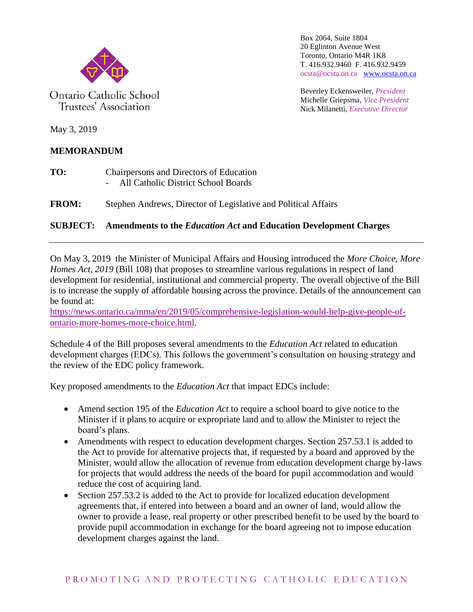

Ontario Catholic School Trustees' Association

Box 2064, Suite 1804 20 Eglinton Avenue West Toronto, Ontario M4R 1K8 T. 416.932.9460 F. 416.932.9459 ocsta@ocsta.on.ca [www.ocsta.on.ca](http://www.ocsta.on.ca/)

Beverley Eckensweiler, *President* Michelle Griepsma, *Vice President* Nick Milanetti, *Executive Director*

May 3, 2019

## **MEMORANDUM**

- **TO:** Chairpersons and Directors of Education - All Catholic District School Boards
- **FROM:** Stephen Andrews, Director of Legislative and Political Affairs

## **SUBJECT: Amendments to the** *Education Act* **and Education Development Charges**

On May 3, 2019 the Minister of Municipal Affairs and Housing introduced the *More Choice, More Homes Act, 2019* (Bill 108) that proposes to streamline various regulations in respect of land development for residential, institutional and commercial property. The overall objective of the Bill is to increase the supply of affordable housing across the province. Details of the announcement can be found at:

[https://news.ontario.ca/mma/en/2019/05/comprehensive-legislation-would-help-give-people-of](https://news.ontario.ca/mma/en/2019/05/comprehensive-legislation-would-help-give-people-of-ontario-more-homes-more-choice.html)[ontario-more-homes-more-choice.html.](https://news.ontario.ca/mma/en/2019/05/comprehensive-legislation-would-help-give-people-of-ontario-more-homes-more-choice.html)

Schedule 4 of the Bill proposes several amendments to the *Education Act* related to education development charges (EDCs). This follows the government's consultation on housing strategy and the review of the EDC policy framework.

Key proposed amendments to the *Education Act* that impact EDCs include:

- Amend section 195 of the *Education Act* to require a school board to give notice to the Minister if it plans to acquire or expropriate land and to allow the Minister to reject the board's plans.
- Amendments with respect to education development charges. Section 257.53.1 is added to the Act to provide for alternative projects that, if requested by a board and approved by the Minister, would allow the allocation of revenue from education development charge by-laws for projects that would address the needs of the board for pupil accommodation and would reduce the cost of acquiring land.
- Section 257.53.2 is added to the Act to provide for localized education development agreements that, if entered into between a board and an owner of land, would allow the owner to provide a lease, real property or other prescribed benefit to be used by the board to provide pupil accommodation in exchange for the board agreeing not to impose education development charges against the land.